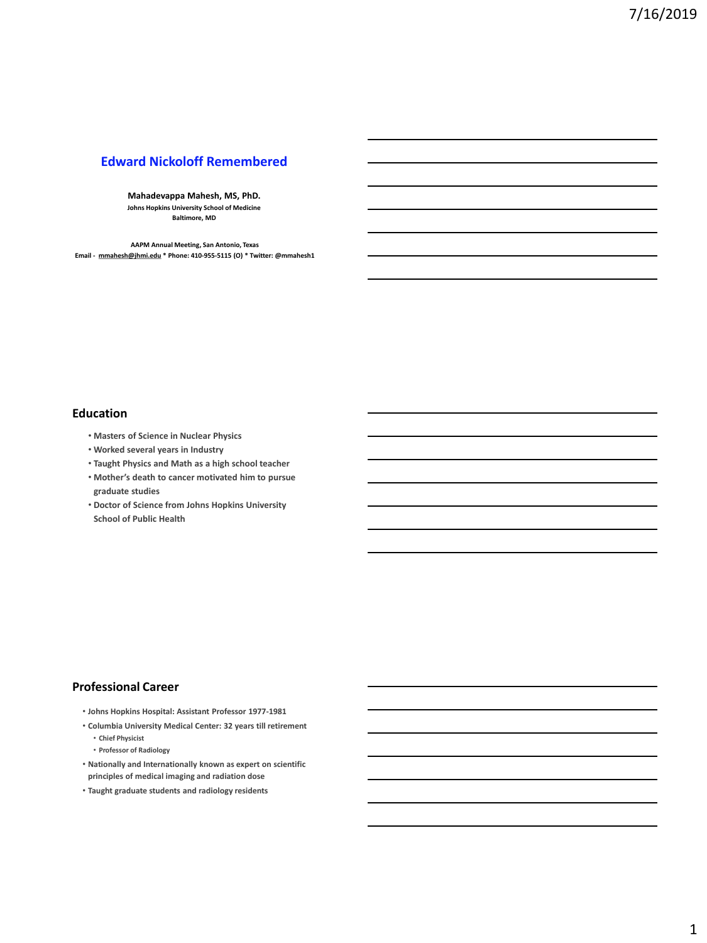# **Edward Nickoloff Remembered**

**Mahadevappa Mahesh, MS, PhD. Johns Hopkins University School of Medicine Baltimore, MD**

**AAPM Annual Meeting, San Antonio, Texas Email - [mmahesh@jhmi.edu](mailto:mmahesh@jhmi.edu) \* Phone: 410-955-5115 (O) \* Twitter: @mmahesh1**

#### **Education**

- **Masters of Science in Nuclear Physics**
- **Worked several years in Industry**
- **Taught Physics and Math as a high school teacher**
- **Mother's death to cancer motivated him to pursue graduate studies**
- **Doctor of Science from Johns Hopkins University School of Public Health**

## **Professional Career**

- **Johns Hopkins Hospital: Assistant Professor 1977-1981**
- **Columbia University Medical Center: 32 years till retirement** • **Chief Physicist**
	- **Professor of Radiology**
- **Nationally and Internationally known as expert on scientific principles of medical imaging and radiation dose**
- **Taught graduate students and radiology residents**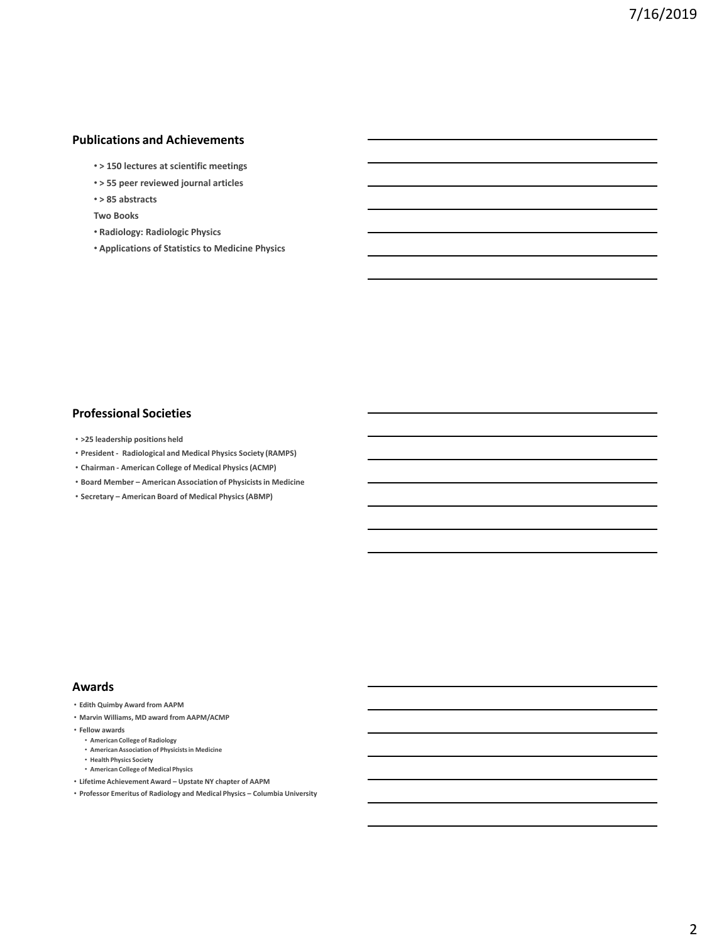## **Publications and Achievements**

- **> 150 lectures at scientific meetings**
- **> 55 peer reviewed journal articles**
- **> 85 abstracts**
- **Two Books**
- **Radiology: Radiologic Physics**
- **Applications of Statistics to Medicine Physics**

### **Professional Societies**

- **>25 leadership positions held**
- **President - Radiological and Medical Physics Society (RAMPS)**
- **Chairman - American College of Medical Physics (ACMP)**
- **Board Member – American Association of Physicists in Medicine**
- **Secretary – American Board of Medical Physics (ABMP)**

#### **Awards**

- **Edith Quimby Award from AAPM**
- **Marvin Williams, MD award from AAPM/ACMP**
- **Fellow awards**
	- **American College of Radiology**
	- **American Association of Physicists in Medicine**
	- **Health Physics Society**
	- **American College of Medical Physics**
- **Lifetime Achievement Award – Upstate NY chapter of AAPM**
- **Professor Emeritus of Radiology and Medical Physics – Columbia University**